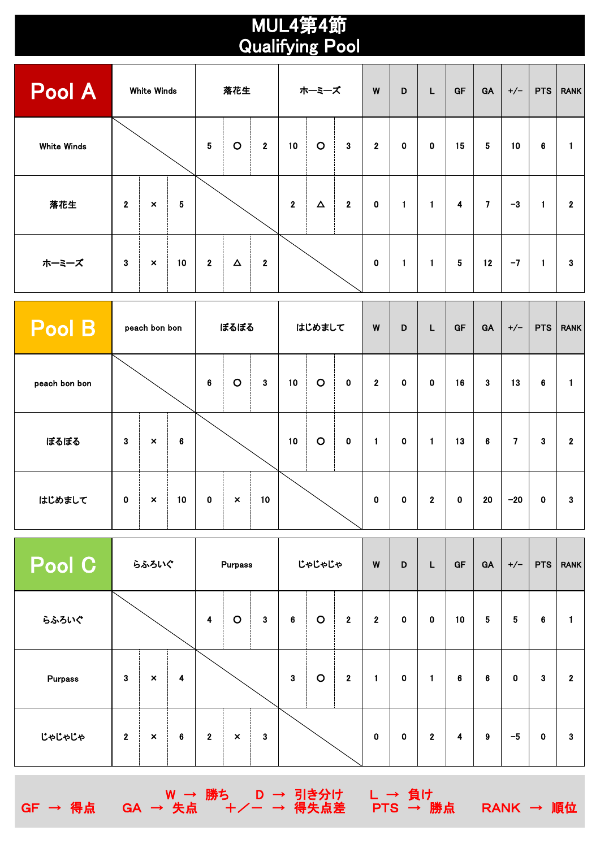## Qualifying Pool MUL4第4節

| Pool A             | <b>White Winds</b>      |                           |    | 落花生            |          |                         | ホーミーズ                   |          |              | W                | D           | L            | GF               | GA              | $+/-$ | <b>PTS</b> | <b>RANK</b>  |
|--------------------|-------------------------|---------------------------|----|----------------|----------|-------------------------|-------------------------|----------|--------------|------------------|-------------|--------------|------------------|-----------------|-------|------------|--------------|
| <b>White Winds</b> |                         |                           |    | ${\bf 5}$      | $\circ$  | $\overline{2}$          | 10                      | $\circ$  | $\mathbf{3}$ | $\boldsymbol{2}$ | $\mathbf 0$ | $\mathbf 0$  | 15               | $5\phantom{.0}$ | 10    | 6          |              |
| 落花生                | $\overline{\mathbf{2}}$ | $\pmb{\times}$            | 5  |                |          |                         | $\overline{\mathbf{2}}$ | $\Delta$ | $\mathbf 2$  | $\bf{0}$         | 1           | $\mathbf{1}$ | $\boldsymbol{4}$ | $\mathbf{7}$    | $-3$  | 1          | $\mathbf{2}$ |
| ホーミーズ              | $\bf 3$                 | $\boldsymbol{\mathsf{x}}$ | 10 | $\overline{2}$ | $\Delta$ | $\overline{\mathbf{2}}$ |                         |          |              | $\pmb{0}$        | 1           | $\mathbf{1}$ | $\sqrt{5}$       | 12              | $-7$  | 1          | 3            |

| Pool B        | peach bon bon |                           |    | ぼるぼる     |                           |              | はじめまして |         |             | W           | D           | L              | GF       | GA           | $+/-$ | PTS | <b>RANK</b>    |
|---------------|---------------|---------------------------|----|----------|---------------------------|--------------|--------|---------|-------------|-------------|-------------|----------------|----------|--------------|-------|-----|----------------|
| peach bon bon |               |                           |    | $\bf{6}$ | $\circ$                   | $\mathbf{3}$ | 10     | $\circ$ | $\mathbf 0$ | $\mathbf 2$ | $\mathbf 0$ | $\mathbf 0$    | 16       | $\mathbf{3}$ | 13    | 6   |                |
| ぼるぼる          | $\mathbf{3}$  | $\boldsymbol{\mathsf{x}}$ | 6  |          |                           |              | 10     | $\circ$ | $\mathbf 0$ | 1           | $\mathbf 0$ | $\mathbf{1}$   | 13       | 6            | 7     | 3   | $\overline{2}$ |
| はじめまして        | $\mathbf 0$   | $\boldsymbol{\mathsf{x}}$ | 10 | $\bf{0}$ | $\boldsymbol{\mathsf{x}}$ | 10           |        |         |             | $\mathbf 0$ | $\bf{0}$    | $\overline{2}$ | $\bf{0}$ | 20           | $-20$ | 0   | 3              |

| Pool C  | らふろいぐ                   |                |   | <b>Purpass</b>   |                |              | じゃじゃじゃ      |             |                | W           | D | L                       | GF      | GA                      | $+/-$       | <b>PTS</b>  | <b>RANK</b>  |
|---------|-------------------------|----------------|---|------------------|----------------|--------------|-------------|-------------|----------------|-------------|---|-------------------------|---------|-------------------------|-------------|-------------|--------------|
| らふろいぐ   |                         |                |   | $\boldsymbol{4}$ | $\mathbf O$    | $\mathbf{3}$ | $\bf 6$     | $\circ$     | $\overline{2}$ | $\mathbf 2$ | 0 | $\mathbf 0$             | 10      | $\overline{\mathbf{5}}$ | $\sqrt{5}$  | $\bf 6$     | 1            |
| Purpass | $\mathbf{3}$            | $\pmb{\times}$ | 4 |                  |                |              | $\mathbf 3$ | $\mathbf O$ | $\mathbf{2}$   | 1           | 0 | $\mathbf{1}$            | $\bf 6$ | 6                       | $\mathbf 0$ | 3           | $\mathbf{2}$ |
| じゃじゃじゃ  | $\overline{\mathbf{2}}$ | $\pmb{\times}$ | 6 | $\mathbf 2$      | $\pmb{\times}$ | $\mathbf{3}$ |             |             |                | $\pmb{0}$   | 0 | $\overline{\mathbf{2}}$ | 4       | 9                       | $-5$        | $\mathbf 0$ | 3            |

W → 勝ち D → 引き分け L → 負け

GF → 得点 GA → 失点 +/- → 得失点差 PTS → 勝点 RANK → 順位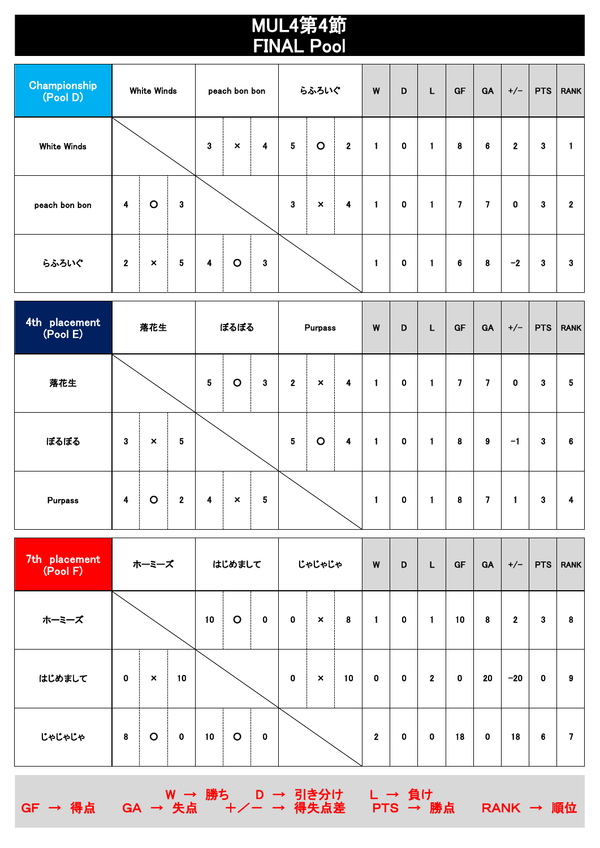## MUL4第4節 FINAL Pool

| Championship<br>(Pool D) | <b>White Winds</b>      |                |   | peach bon bon           |                           |              | らふろいぐ                   |                |              | W            | D           | L            | GF               | GA             | $+/-$            | <b>PTS</b> | <b>RANK</b>  |
|--------------------------|-------------------------|----------------|---|-------------------------|---------------------------|--------------|-------------------------|----------------|--------------|--------------|-------------|--------------|------------------|----------------|------------------|------------|--------------|
| White Winds              |                         |                |   | $\mathbf{3}$            | $\boldsymbol{\mathsf{x}}$ | 4            | $\overline{\mathbf{5}}$ | $\circ$        | $\mathbf{2}$ | $\mathbf{1}$ | 0           | $\mathbf{1}$ | $\pmb{8}$        | 6              | $\boldsymbol{2}$ | 3          |              |
| peach bon bon            | $\overline{\mathbf{4}}$ | $\circ$        | 3 |                         |                           |              | $\bf 3$                 | $\pmb{\times}$ | 4            | 1            | $\mathbf 0$ | $\mathbf{1}$ | $\boldsymbol{7}$ | $\overline{7}$ | $\mathbf 0$      | 3          | $\mathbf{2}$ |
| らふろいぐ                    | $\overline{2}$          | $\pmb{\times}$ | 5 | $\overline{\mathbf{4}}$ | $\circ$                   | $\mathbf{3}$ |                         |                |              | $\mathbf{1}$ | 0           | $\mathbf{1}$ | $\bf 6$          | 8              | $-2$             | 3          | 3            |

| 4th placement<br>(Pool E) | 落花生      |                           |              | ぼるぼる                    |                           |   | Purpass     |                           |   | W | D           | L            | GF        | GA | $+/-$       | PTS | <b>RANK</b> |
|---------------------------|----------|---------------------------|--------------|-------------------------|---------------------------|---|-------------|---------------------------|---|---|-------------|--------------|-----------|----|-------------|-----|-------------|
| 落花生                       |          |                           |              | $\overline{\mathbf{5}}$ | $\circ$                   | 3 | $\mathbf 2$ | $\boldsymbol{\mathsf{x}}$ | 4 | 1 | $\mathbf 0$ | 1            | 7         | 7  | $\mathbf 0$ | 3   | 5           |
| ぼるぼる                      | $\bf{3}$ | $\boldsymbol{\mathsf{x}}$ | ${\bf 5}$    |                         |                           |   | ${\bf 5}$   | $\circ$                   | 4 | и | 0           | 1            | $\pmb{8}$ | 9  | -1          | 3   | 6           |
| Purpass                   | 4        | $\circ$                   | $\mathbf{2}$ | 4                       | $\boldsymbol{\mathsf{x}}$ | 5 |             |                           |   |   | 0           | $\mathbf{1}$ | 8         | 7  | 1           | 3   | 4           |

| 7th placement<br>(Pool F) | ホーミーズ       |                |             | はじめまして |         |             | じゃじゃじゃ      |                           |    | W            | D           | L              | GF          | GA          | $+/-$        | <b>PTS</b>     | <b>RANK</b> |
|---------------------------|-------------|----------------|-------------|--------|---------|-------------|-------------|---------------------------|----|--------------|-------------|----------------|-------------|-------------|--------------|----------------|-------------|
| ホーミーズ                     |             |                |             | 10     | $\circ$ | $\mathbf 0$ | $\mathbf 0$ | $\boldsymbol{\mathsf{x}}$ | 8  | 1            | $\mathbf 0$ | $\blacksquare$ | 10          | $\pmb{8}$   | $\mathbf{2}$ | 3              | 8           |
| はじめまして                    | $\mathbf 0$ | $\pmb{\times}$ | 10          |        |         |             | $\mathbf 0$ | $\boldsymbol{\mathsf{x}}$ | 10 | $\mathbf 0$  | $\mathbf 0$ | $\overline{2}$ | $\mathbf 0$ | 20          | $-20$        | $\mathbf 0$    | 9           |
| じゃじゃじゃ                    | 8           | $\circ$        | $\mathbf 0$ | 10     | $\circ$ | $\mathbf 0$ |             |                           |    | $\mathbf{2}$ | 0           | $\mathbf 0$    | 18          | $\mathbf 0$ | 18           | $6\phantom{1}$ | 7           |

。 D → 引き分け L → 負け<br>+/- → 得失点差 PTS → 勝点

GF → 得点 GA → 失点 +/- → 引き分け L → 負け<br>GF → 得点 GA → 失点 +/- → 得失点差 PTS → 勝点 RANK → 順位